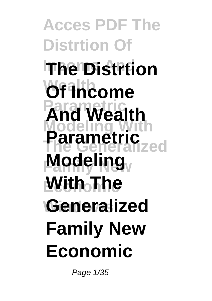**Acces PDF The Distrtion Of Income And The Distrtion Of Income Parametric And Wealth Modeling With The Generalized Modeling With The Windows Generalized Parametric Family New Economic**

Page 1/35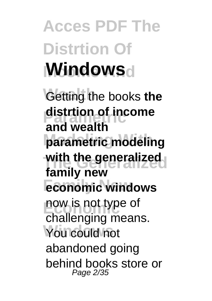# **Acces PDF The Distrtion Of Mindows**

**Getting** the books the **distrtion of income Modeling With parametric modeling The Generalized with the generalized** *economic windows* **Economic** now is not type of You could not **and wealth family new** challenging means. abandoned going behind books store or Page 2/35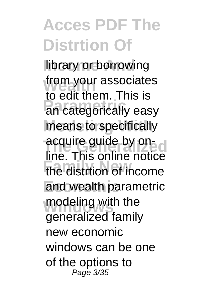library or borrowing from your associates **Parametric** an categorically easy means to specifically acquire guide by on-**Family New** the distrtion of income and wealth parametric modeling with the to edit them. This is line. This online notice generalized family new economic windows can be one of the options to Page 3/35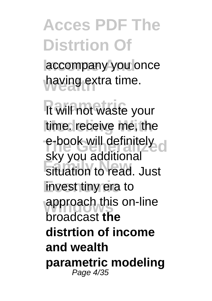accompany you once having extra time.

**It will not waste your** time. receive me, the e-book will definitely **Fig. 7 Securities Economic** invest tiny era to approach this on-line sky you additional broadcast **the distrtion of income and wealth parametric modeling** Page 4/35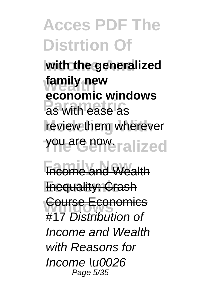with the generalized **family new Parametric** as with ease as review them wherever you are now. ralized **economic windows**

**Fincome and Wealth Fnequality: Crash Course Economics** #17 Distribution of Income and Wealth with Reasons for Income \u0026 Page 5/35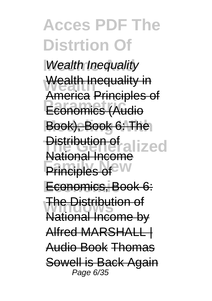**Wealth Inequality** Wealth Inequality in **Parametric** Economics (Audio Book), Book 6: The **Distribution of alized Principles of Economic** Economics, Book 6: **The Distribution of** America Principles of National Income National Income by Alfred MARSHALL | Audio Book Thomas Sowell is Back Again Page 6/35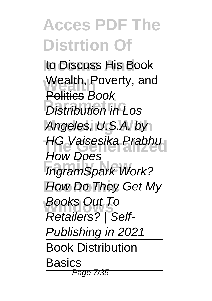to Discuss His Book Wealth, Poverty, and **Profits Book**<br> **Pistribution in Los** Angeles, U.S.A. by **HG Vaisesika Prabhu Fram Spark Work? How Do They Get My Windows** Retailers? | Self-Politics Book How Does Books Out To Publishing in 2021 Book Distribution **Basics** Page 7/35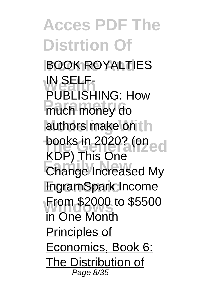**Acces PDF The Distrtion Of Income And** BOOK ROYALTIES **IN SELF-<br>PUBLISHING: How Parametric** much money do authors make on the books in 2020? (on ed **Change Increased My Economic** IngramSpark Income **From \$2000 to \$5500** IN SELF-KDP) This One in One Month Principles of Economics, Book 6: The Distribution of Page 8/35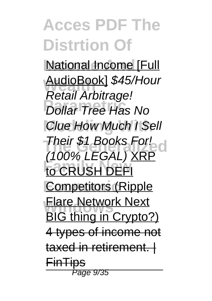**National Income [Full Wealth** AudioBook] \$45/Hour **Parametric** Dollar Tree Has No **Clue How Much I Sell Their \$1 Books For!**<br>(1000/1 FOAL) YOD **Family New** to CRUSH DEFI **Competitors** (Ripple **Flare Network Next** Retail Arbitrage! (100% LEGAL) XRP BIG thing in Crypto?) 4 types of income not taxed in retirement. **FinTips** Page 9/35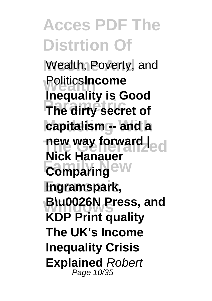Wealth, Poverty, and **PoliticsIncome Parametric The dirty secret of capitalism** - and a new way forward |<br> **Night Homocratic Conducts Comparing** ew **Economic Ingramspark, Windows B\u0026N Press, and Inequality is Good Nick Hanauer KDP Print quality The UK's Income Inequality Crisis Explained** Robert Page 10/35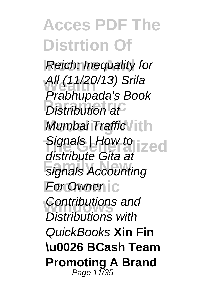**Reich: Inequality for Wealth** All (11/20/13) Srila **Praishapada** S Mumbai Traffic / ith Signals | How to **ized Family New** signals Accounting **For Owner** ic **Contributions and** Prabhupada's Book distribute Gita at Distributions with QuickBooks **Xin Fin \u0026 BCash Team Promoting A Brand** Page 11/35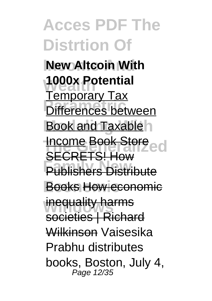**Acces PDF The Distrtion Of New Altcoin With 1000x Potential Paragetal Contracts Book and Taxable Income Book Store Publishers Distribute Economic** Books How economic **inequality harms** Temporary Tax SECRETS! How societies | Richard Wilkinson Vaisesika Prabhu distributes books, Boston, July 4, Page 12/35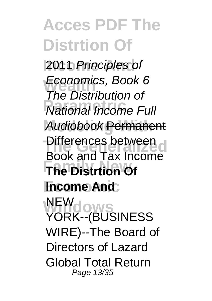2011 Principles of **Economics, Book 6**<br>The Distribution of **Production**<br> **Parameter Pull Modeling With** Audiobook Permanent **Differences between The Distrtion Of Income And Windows** YORK--(BUSINESS The Distribution of Book and Tax Income NEW WIRE)--The Board of Directors of Lazard Global Total Return Page 13/35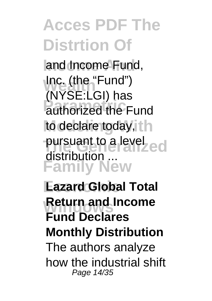and Income Fund, **Inc.** (the "Fund") **Parameter**<br> **Pauthorized** the Fund to declare today, th pursuant to a level<br>distribution **Family New** (NYSE:LGI) has distribution

**Eazard Global Total Return and Income Fund Declares Monthly Distribution** The authors analyze how the industrial shift Page 14/35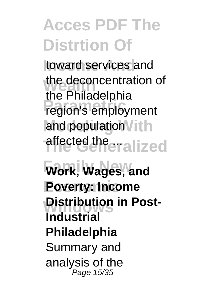toward services and the deconcentration of **Parameter in the Principle Propriet** and population Vith affected the **alized** the Philadelphia

**Family New Work, Wages, and Economic Poverty: Income Distribution in Post-Industrial Philadelphia** Summary and analysis of the Page 15/35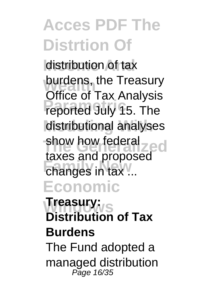distribution of tax burdens, the Treasury<br>
office of Tay Anglysia **Parameter of Track Analysis** distributional analyses show how federal<sub>zed</sub> **Changes in tax... Economic** Office of Tax Analysis taxes and proposed

**Windows Treasury: Distribution of Tax Burdens** The Fund adopted a

managed distribution Page 16/35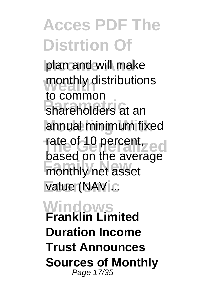plan and will make monthly distributions **Parametric**<br> **Parameters** at an annual minimum fixed rate of 10 percent<sub>yed</sub> **Family New** monthly net asset value (NAV ... to common based on the average

**Windows Franklin Limited Duration Income Trust Announces Sources of Monthly** Page 17/35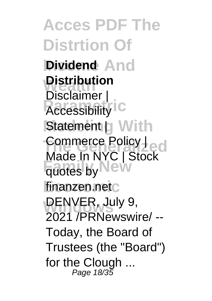**Acces PDF The Distrtion Of Dividend** And **Distribution Presidial** C **Statement | With** Commerce Policy |<br>Mada la NXC | Charles **Factor** Highlew **Economic** finanzen.net DENVER, July 9, Disclaimer | Made In NYC | Stock 2021 /PRNewswire/ -- Today, the Board of Trustees (the "Board") for the Clough ... Page 18/35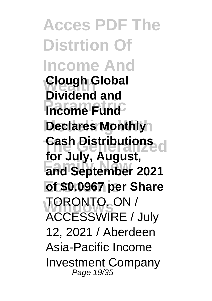**Acces PDF The Distrtion Of Income And Clough Global Income Fund Declares Monthly The Generalized Cash Distributions Family New and September 2021 Economic of \$0.0967 per Share Windows** TORONTO, ON / **Dividend and for July, August,** ACCESSWIRE / July 12, 2021 / Aberdeen Asia-Pacific Income Investment Company Page 19/35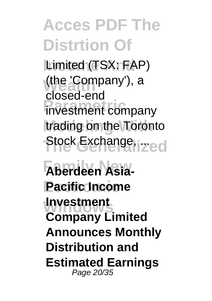Limited (TSX: FAP) (the 'Company'), a **Parametric** investment company trading on the Toronto Stock Exchange, **ized** closed-end

**Family New Aberdeen Asia-Pacific Income Windows Investment Company Limited Announces Monthly Distribution and Estimated Earnings** Page 20/35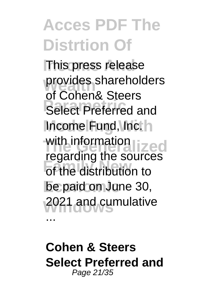**This press release** provides shareholders **Parameter Select Preferred and** Income Fund, Inc. h with information<br>
was generated **Family the search**<br>of the distribution to **Economic** be paid on June 30, **Windows** 2021 and cumulative of Cohen& Steers regarding the sources ...

**Cohen & Steers Select Preferred and** Page 21/35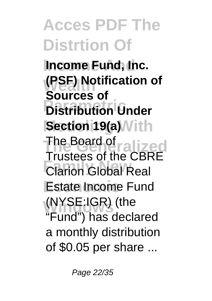**Income Fund, Inc. (PSF) Notification of Parameter of the Under Section 19(a)** Vith The Board of ralized **Fractoco of the CBI**<br>Clarion Global Real **Estate Income Fund Windows** (NYSE:IGR) (the **Sources of** Trustees of the CBRE "Fund") has declared a monthly distribution of \$0.05 per share ...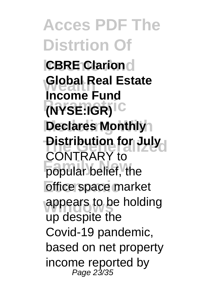**Acces PDF The Distrtion Of CBRE Clarion Global Real Estate Parametric (NYSE:IGR) Declares Monthly Distribution for July Family New York Contribution** *<u>Office</u>* space market appears to be holding **Income Fund** CONTRARY to up despite the Covid-19 pandemic, based on net property income reported by<br>Page 23/35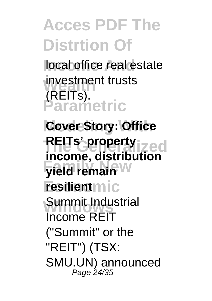local office real estate **investment trusts Parametric** (REITs).

**Cover Story: Office REITs' property ized Family New Yield remain resilient**mic **Summit Industrial income, distribution** Income REIT ("Summit" or the "REIT") (TSX: SMU.UN) announced Page 24/35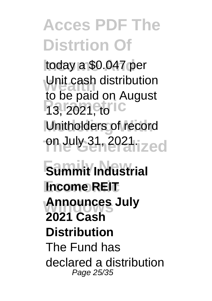**Income And** today a \$0.047 per **Unit cash distribution** 13, 2021, to C Unitholders of record **The Generalized** on July 31, 2021. to be paid on August

**Family New Summit Industrial Income REIT Announces July 2021 Cash Distribution** The Fund has declared a distribution Page 25/35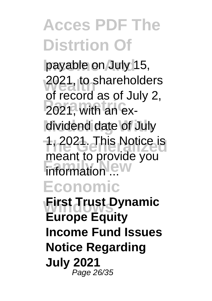payable on July 15, 2021, to shareholders **Parametric** 2021, with an exdividend date of July **The Generalized** 1, 2021. This Notice is **Family New York Economic First Trust Dynamic** of record as of July 2, meant to provide you **Europe Equity Income Fund Issues Notice Regarding July 2021**

Page 26/35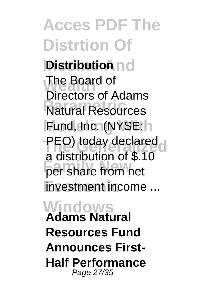# **Acces PDF The Distrtion Of Distribution** nd

The Board of **Parametric** Natural Resources Fund, Inc. (NYSE: h **PEO) today declared Family New** per share from net **Investment income** ... Directors of Adams a distribution of \$.10

#### **Windows Adams Natural Resources Fund Announces First-Half Performance** Page 27/35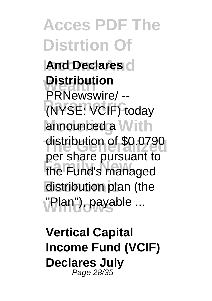**Acces PDF The Distrtion Of And Declares Distribution Parametric** (NYSE: VCIF) today announced a With distribution of \$0.0790 **Family New** the Fund's managed **distribution plan (the Windows** "Plan"), payable ... PRNewswire/ - per share pursuant to

**Vertical Capital Income Fund (VCIF) Declares July** Page 28/35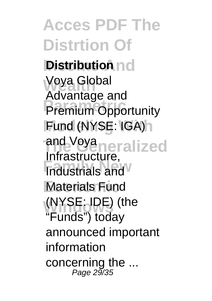**Acces PDF The Distrtion Of Distribution** nd **Voya Global Parametric** Premium Opportunity Fund (NYSE: IGA)h and Voya<sub>neralized</sub> **Findustrials and Materials Fund Windows** (NYSE: IDE) (the Advantage and Infrastructure, "Funds") today announced important information concerning the  $\ldots$ <br> $Page\ 29/35$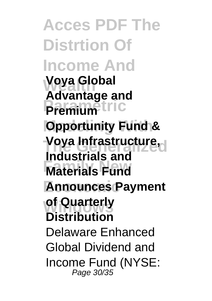**Acces PDF The Distrtion Of Income And Voya Global Premium**<sup>tric</sup> **Opportunity Fund & The Generalized Voya Infrastructure, Family New Materials Fund Economic Announces Payment of Quarterly Advantage and Industrials and Distribution** Delaware Enhanced Global Dividend and Income Fund (NYSE: Page 30/35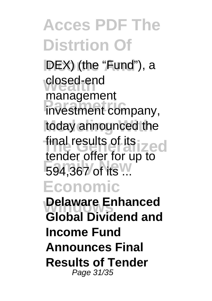**IDEX)** (the "Fund"), a **closed-end Investment company,** today announced the final results of its **ized 594,367 of its ... Economic Delaware Enhanced** management tender offer for up to **Global Dividend and Income Fund Announces Final Results of Tender** Page 31/35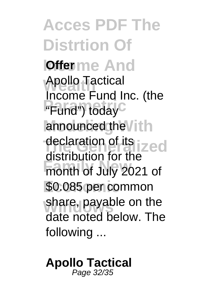**Acces PDF The Distrtion Of Iofferme And** Apollo Tactical **Parametric Contract**<br>
"Fund") today announced the Vith declaration of its **ized Family New** month of July 2021 of **Economic** \$0.085 per common share, payable on the Income Fund Inc. (the distribution for the date noted below. The following ...

**Apollo Tactical** Page 32/35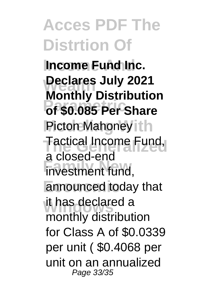**Income Fund Inc. Wealth Declares July 2021 Parametric of \$0.085 Per Share Picton Mahoney ith** Tactical Income Fund, **Family Street Ment** fund, **Economic** announced today that it has declared a **Monthly Distribution** a closed-end monthly distribution for Class A of \$0.0339 per unit ( \$0.4068 per unit on an annualized Page 33/35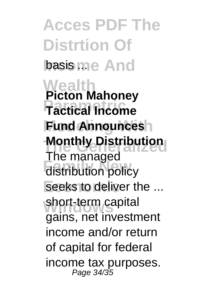**Acces PDF The Distrtion Of** basis me And **Wealth Parametric Tactical Income Fund Announces Monthly Distribution Family Memory**<br> **Family** distribution policy seeks to deliver the ... short-term capital **Picton Mahoney** The managed gains, net investment income and/or return of capital for federal income tax purposes. Page 34/35